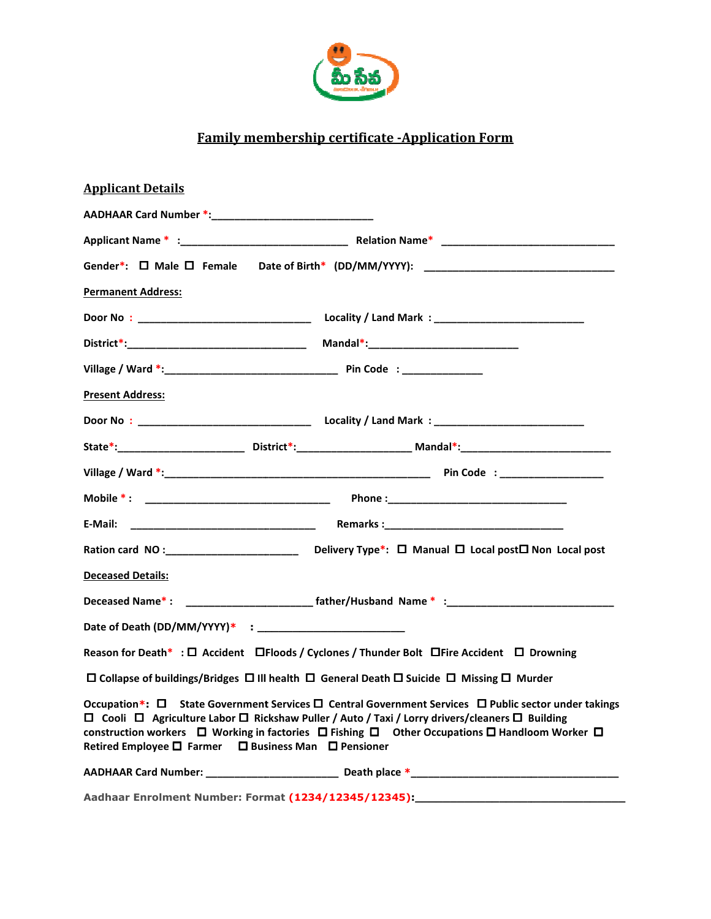

## Family member membership certificate -Application Form

| <b>Applicant Details</b>  |                                                      |                                                                                                                                                                                                                                                                                                                                   |
|---------------------------|------------------------------------------------------|-----------------------------------------------------------------------------------------------------------------------------------------------------------------------------------------------------------------------------------------------------------------------------------------------------------------------------------|
|                           |                                                      |                                                                                                                                                                                                                                                                                                                                   |
|                           |                                                      |                                                                                                                                                                                                                                                                                                                                   |
|                           |                                                      |                                                                                                                                                                                                                                                                                                                                   |
| <b>Permanent Address:</b> |                                                      |                                                                                                                                                                                                                                                                                                                                   |
|                           |                                                      |                                                                                                                                                                                                                                                                                                                                   |
|                           |                                                      |                                                                                                                                                                                                                                                                                                                                   |
|                           |                                                      |                                                                                                                                                                                                                                                                                                                                   |
| <b>Present Address:</b>   |                                                      |                                                                                                                                                                                                                                                                                                                                   |
|                           |                                                      |                                                                                                                                                                                                                                                                                                                                   |
|                           |                                                      | State*:____________________________District*:____________________________Mandal*:_____________________________                                                                                                                                                                                                                    |
|                           |                                                      |                                                                                                                                                                                                                                                                                                                                   |
|                           |                                                      |                                                                                                                                                                                                                                                                                                                                   |
|                           |                                                      |                                                                                                                                                                                                                                                                                                                                   |
|                           |                                                      |                                                                                                                                                                                                                                                                                                                                   |
| <b>Deceased Details:</b>  |                                                      |                                                                                                                                                                                                                                                                                                                                   |
|                           |                                                      |                                                                                                                                                                                                                                                                                                                                   |
|                           |                                                      |                                                                                                                                                                                                                                                                                                                                   |
|                           |                                                      | Reason for Death* : □ Accident □Floods / Cyclones / Thunder Bolt □Fire Accident □ Drowning                                                                                                                                                                                                                                        |
|                           |                                                      | □ Collapse of buildings/Bridges □ Ill health □ General Death □ Suicide □ Missing □ Murder                                                                                                                                                                                                                                         |
|                           | Retired Employee □ Farmer □ Business Man □ Pensioner | Occupation*: □ State Government Services □ Central Government Services □ Public sector under takings<br>□ Cooli □ Agriculture Labor □ Rickshaw Puller / Auto / Taxi / Lorry drivers/cleaners □ Building<br>construction workers $\Box$ Working in factories $\Box$ Fishing $\Box$ Other Occupations $\Box$ Handloom Worker $\Box$ |
|                           |                                                      |                                                                                                                                                                                                                                                                                                                                   |
|                           |                                                      | Aadhaar Enrolment Number: Format (1234/12345/12345): 2010 2020 2020 2031 2040 2040 2040 2040 2040 2040 2040 20                                                                                                                                                                                                                    |